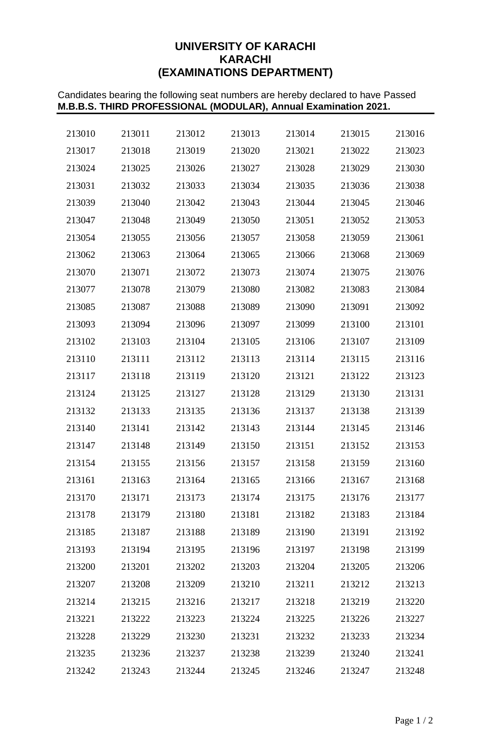# **UNIVERSITY OF KARACHI KARACHI (EXAMINATIONS DEPARTMENT)**

Candidates bearing the following seat numbers are hereby declared to have Passed **M.B.B.S. THIRD PROFESSIONAL (MODULAR), Annual Examination 2021.**

| 213010 | 213011 | 213012 | 213013 | 213014 | 213015 | 213016 |
|--------|--------|--------|--------|--------|--------|--------|
| 213017 | 213018 | 213019 | 213020 | 213021 | 213022 | 213023 |
| 213024 | 213025 | 213026 | 213027 | 213028 | 213029 | 213030 |
| 213031 | 213032 | 213033 | 213034 | 213035 | 213036 | 213038 |
| 213039 | 213040 | 213042 | 213043 | 213044 | 213045 | 213046 |
| 213047 | 213048 | 213049 | 213050 | 213051 | 213052 | 213053 |
| 213054 | 213055 | 213056 | 213057 | 213058 | 213059 | 213061 |
| 213062 | 213063 | 213064 | 213065 | 213066 | 213068 | 213069 |
| 213070 | 213071 | 213072 | 213073 | 213074 | 213075 | 213076 |
| 213077 | 213078 | 213079 | 213080 | 213082 | 213083 | 213084 |
| 213085 | 213087 | 213088 | 213089 | 213090 | 213091 | 213092 |
| 213093 | 213094 | 213096 | 213097 | 213099 | 213100 | 213101 |
| 213102 | 213103 | 213104 | 213105 | 213106 | 213107 | 213109 |
| 213110 | 213111 | 213112 | 213113 | 213114 | 213115 | 213116 |
| 213117 | 213118 | 213119 | 213120 | 213121 | 213122 | 213123 |
| 213124 | 213125 | 213127 | 213128 | 213129 | 213130 | 213131 |
| 213132 | 213133 | 213135 | 213136 | 213137 | 213138 | 213139 |
| 213140 | 213141 | 213142 | 213143 | 213144 | 213145 | 213146 |
| 213147 | 213148 | 213149 | 213150 | 213151 | 213152 | 213153 |
| 213154 | 213155 | 213156 | 213157 | 213158 | 213159 | 213160 |
| 213161 | 213163 | 213164 | 213165 | 213166 | 213167 | 213168 |
| 213170 | 213171 | 213173 | 213174 | 213175 | 213176 | 213177 |
| 213178 | 213179 | 213180 | 213181 | 213182 | 213183 | 213184 |
| 213185 | 213187 | 213188 | 213189 | 213190 | 213191 | 213192 |
| 213193 | 213194 | 213195 | 213196 | 213197 | 213198 | 213199 |
| 213200 | 213201 | 213202 | 213203 | 213204 | 213205 | 213206 |
| 213207 | 213208 | 213209 | 213210 | 213211 | 213212 | 213213 |
| 213214 | 213215 | 213216 | 213217 | 213218 | 213219 | 213220 |
| 213221 | 213222 | 213223 | 213224 | 213225 | 213226 | 213227 |
| 213228 | 213229 | 213230 | 213231 | 213232 | 213233 | 213234 |
| 213235 | 213236 | 213237 | 213238 | 213239 | 213240 | 213241 |
| 213242 | 213243 | 213244 | 213245 | 213246 | 213247 | 213248 |